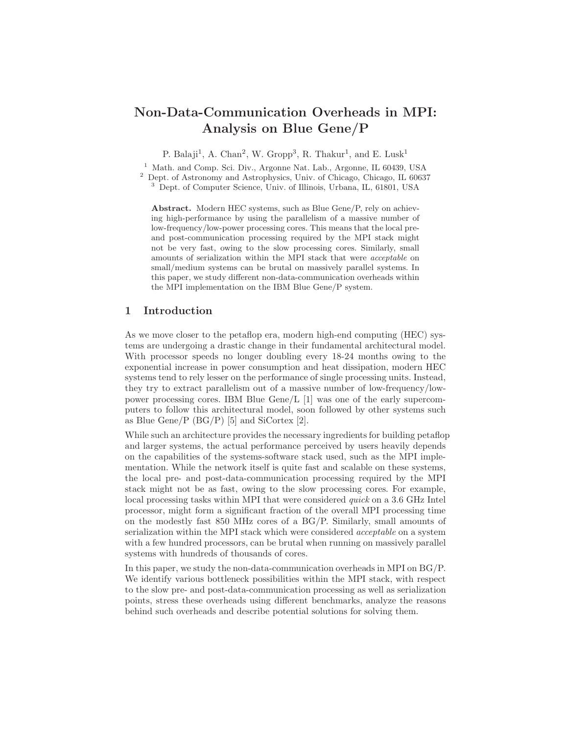# Non-Data-Communication Overheads in MPI: Analysis on Blue Gene/P

P. Balaji<sup>1</sup>, A. Chan<sup>2</sup>, W. Gropp<sup>3</sup>, R. Thakur<sup>1</sup>, and E. Lusk<sup>1</sup>

 $^{\rm 1}$  Math. and Comp. Sci. Div., Argonne Nat. Lab., Argonne, IL 60439, USA  $^{\rm 2}$  Dept. of Astronomy and Astrophysics, Univ. of Chicago, Chicago, IL 60637  $^{\rm 3}$  Dept. of Computer Science, Univ. of Illinois, Urbana

Abstract. Modern HEC systems, such as Blue Gene/P, rely on achieving high-performance by using the parallelism of a massive number of low-frequency/low-power processing cores. This means that the local preand post-communication processing required by the MPI stack might not be very fast, owing to the slow processing cores. Similarly, small amounts of serialization within the MPI stack that were acceptable on small/medium systems can be brutal on massively parallel systems. In this paper, we study different non-data-communication overheads within the MPI implementation on the IBM Blue Gene/P system.

# 1 Introduction

As we move closer to the petaflop era, modern high-end computing (HEC) systems are undergoing a drastic change in their fundamental architectural model. With processor speeds no longer doubling every 18-24 months owing to the exponential increase in power consumption and heat dissipation, modern HEC systems tend to rely lesser on the performance of single processing units. Instead, they try to extract parallelism out of a massive number of low-frequency/lowpower processing cores. IBM Blue Gene/L [1] was one of the early supercomputers to follow this architectural model, soon followed by other systems such as Blue Gene/P  $(BG/P)$  [5] and SiCortex [2].

While such an architecture provides the necessary ingredients for building petaflop and larger systems, the actual performance perceived by users heavily depends on the capabilities of the systems-software stack used, such as the MPI implementation. While the network itself is quite fast and scalable on these systems, the local pre- and post-data-communication processing required by the MPI stack might not be as fast, owing to the slow processing cores. For example, local processing tasks within MPI that were considered *quick* on a 3.6 GHz Intel processor, might form a significant fraction of the overall MPI processing time on the modestly fast 850 MHz cores of a BG/P. Similarly, small amounts of serialization within the MPI stack which were considered acceptable on a system with a few hundred processors, can be brutal when running on massively parallel systems with hundreds of thousands of cores.

In this paper, we study the non-data-communication overheads in MPI on BG/P. We identify various bottleneck possibilities within the MPI stack, with respect to the slow pre- and post-data-communication processing as well as serialization points, stress these overheads using different benchmarks, analyze the reasons behind such overheads and describe potential solutions for solving them.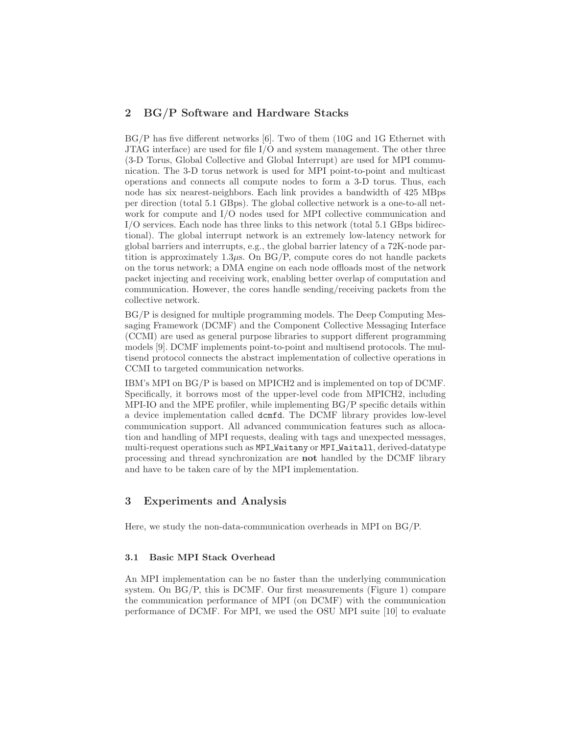# 2 BG/P Software and Hardware Stacks

BG/P has five different networks [6]. Two of them (10G and 1G Ethernet with JTAG interface) are used for file I/O and system management. The other three (3-D Torus, Global Collective and Global Interrupt) are used for MPI communication. The 3-D torus network is used for MPI point-to-point and multicast operations and connects all compute nodes to form a 3-D torus. Thus, each node has six nearest-neighbors. Each link provides a bandwidth of 425 MBps per direction (total 5.1 GBps). The global collective network is a one-to-all network for compute and I/O nodes used for MPI collective communication and I/O services. Each node has three links to this network (total 5.1 GBps bidirectional). The global interrupt network is an extremely low-latency network for global barriers and interrupts, e.g., the global barrier latency of a 72K-node partition is approximately 1.3 $\mu$ s. On BG/P, compute cores do not handle packets on the torus network; a DMA engine on each node offloads most of the network packet injecting and receiving work, enabling better overlap of computation and communication. However, the cores handle sending/receiving packets from the collective network.

BG/P is designed for multiple programming models. The Deep Computing Messaging Framework (DCMF) and the Component Collective Messaging Interface (CCMI) are used as general purpose libraries to support different programming models [9]. DCMF implements point-to-point and multisend protocols. The multisend protocol connects the abstract implementation of collective operations in CCMI to targeted communication networks.

IBM's MPI on BG/P is based on MPICH2 and is implemented on top of DCMF. Specifically, it borrows most of the upper-level code from MPICH2, including MPI-IO and the MPE profiler, while implementing BG/P specific details within a device implementation called dcmfd. The DCMF library provides low-level communication support. All advanced communication features such as allocation and handling of MPI requests, dealing with tags and unexpected messages, multi-request operations such as MPI Waitany or MPI Waitall, derived-datatype processing and thread synchronization are not handled by the DCMF library and have to be taken care of by the MPI implementation.

# 3 Experiments and Analysis

Here, we study the non-data-communication overheads in MPI on BG/P.

#### 3.1 Basic MPI Stack Overhead

An MPI implementation can be no faster than the underlying communication system. On BG/P, this is DCMF. Our first measurements (Figure 1) compare the communication performance of MPI (on DCMF) with the communication performance of DCMF. For MPI, we used the OSU MPI suite [10] to evaluate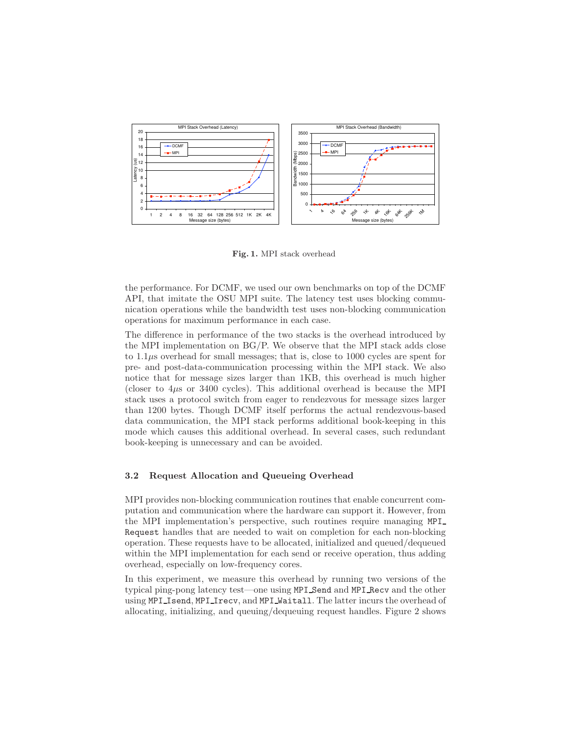

Fig. 1. MPI stack overhead

the performance. For DCMF, we used our own benchmarks on top of the DCMF API, that imitate the OSU MPI suite. The latency test uses blocking communication operations while the bandwidth test uses non-blocking communication operations for maximum performance in each case.

The difference in performance of the two stacks is the overhead introduced by the MPI implementation on BG/P. We observe that the MPI stack adds close to  $1.1\mu s$  overhead for small messages; that is, close to 1000 cycles are spent for pre- and post-data-communication processing within the MPI stack. We also notice that for message sizes larger than 1KB, this overhead is much higher (closer to  $4\mu$ s or 3400 cycles). This additional overhead is because the MPI stack uses a protocol switch from eager to rendezvous for message sizes larger than 1200 bytes. Though DCMF itself performs the actual rendezvous-based data communication, the MPI stack performs additional book-keeping in this mode which causes this additional overhead. In several cases, such redundant book-keeping is unnecessary and can be avoided.

#### 3.2 Request Allocation and Queueing Overhead

MPI provides non-blocking communication routines that enable concurrent computation and communication where the hardware can support it. However, from the MPI implementation's perspective, such routines require managing MPI Request handles that are needed to wait on completion for each non-blocking operation. These requests have to be allocated, initialized and queued/dequeued within the MPI implementation for each send or receive operation, thus adding overhead, especially on low-frequency cores.

In this experiment, we measure this overhead by running two versions of the typical ping-pong latency test—one using MPI Send and MPI Recv and the other using MPI Isend, MPI Irecv, and MPI Waitall. The latter incurs the overhead of allocating, initializing, and queuing/dequeuing request handles. Figure 2 shows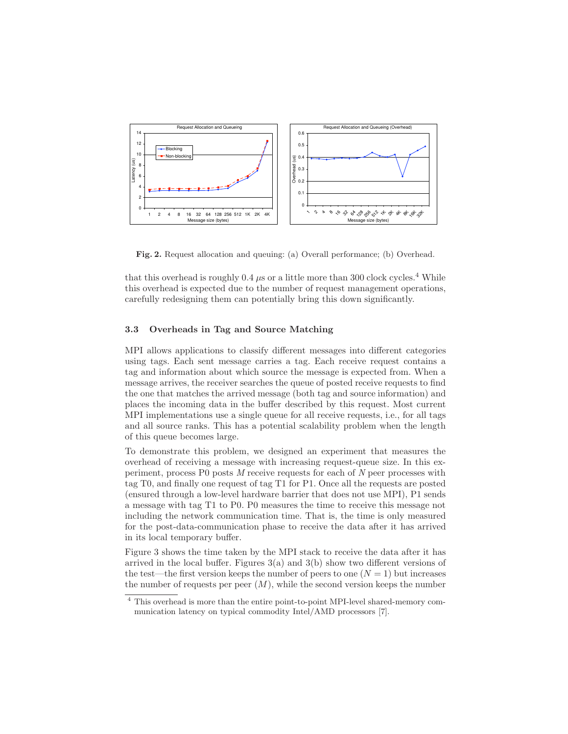

Fig. 2. Request allocation and queuing: (a) Overall performance; (b) Overhead.

that this overhead is roughly  $0.4 \mu s$  or a little more than 300 clock cycles.<sup>4</sup> While this overhead is expected due to the number of request management operations, carefully redesigning them can potentially bring this down significantly.

### 3.3 Overheads in Tag and Source Matching

MPI allows applications to classify different messages into different categories using tags. Each sent message carries a tag. Each receive request contains a tag and information about which source the message is expected from. When a message arrives, the receiver searches the queue of posted receive requests to find the one that matches the arrived message (both tag and source information) and places the incoming data in the buffer described by this request. Most current MPI implementations use a single queue for all receive requests, i.e., for all tags and all source ranks. This has a potential scalability problem when the length of this queue becomes large.

To demonstrate this problem, we designed an experiment that measures the overhead of receiving a message with increasing request-queue size. In this experiment, process P0 posts M receive requests for each of N peer processes with tag T0, and finally one request of tag T1 for P1. Once all the requests are posted (ensured through a low-level hardware barrier that does not use MPI), P1 sends a message with tag T1 to P0. P0 measures the time to receive this message not including the network communication time. That is, the time is only measured for the post-data-communication phase to receive the data after it has arrived in its local temporary buffer.

Figure 3 shows the time taken by the MPI stack to receive the data after it has arrived in the local buffer. Figures  $3(a)$  and  $3(b)$  show two different versions of the test—the first version keeps the number of peers to one  $(N = 1)$  but increases the number of requests per peer  $(M)$ , while the second version keeps the number

 $\overline{4}$  This overhead is more than the entire point-to-point MPI-level shared-memory communication latency on typical commodity Intel/AMD processors [7].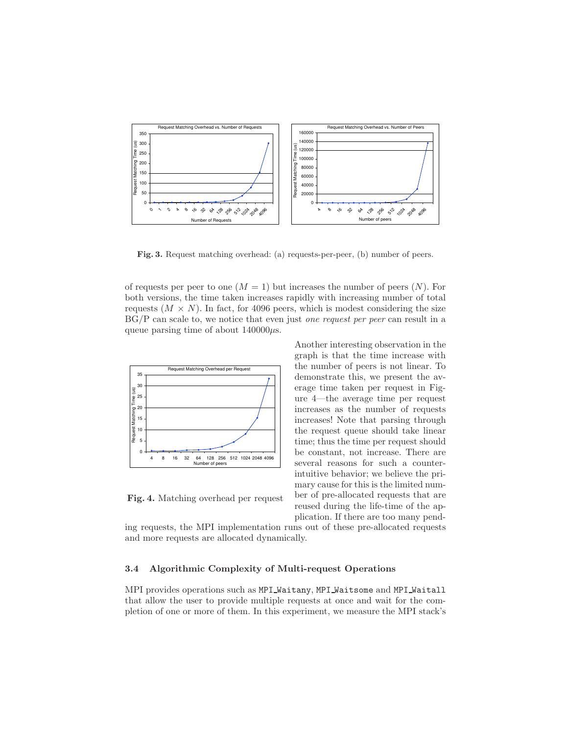

Fig. 3. Request matching overhead: (a) requests-per-peer, (b) number of peers.

of requests per peer to one  $(M = 1)$  but increases the number of peers  $(N)$ . For both versions, the time taken increases rapidly with increasing number of total requests  $(M \times N)$ . In fact, for 4096 peers, which is modest considering the size  $BG/P$  can scale to, we notice that even just one request per peer can result in a queue parsing time of about  $140000\mu$ s.



Fig. 4. Matching overhead per request

Another interesting observation in the graph is that the time increase with the number of peers is not linear. To demonstrate this, we present the average time taken per request in Figure 4—the average time per request increases as the number of requests increases! Note that parsing through the request queue should take linear time; thus the time per request should be constant, not increase. There are several reasons for such a counterintuitive behavior; we believe the primary cause for this is the limited number of pre-allocated requests that are reused during the life-time of the application. If there are too many pend-

ing requests, the MPI implementation runs out of these pre-allocated requests and more requests are allocated dynamically.

#### 3.4 Algorithmic Complexity of Multi-request Operations

MPI provides operations such as MPI Waitany, MPI Waitsome and MPI Waitall that allow the user to provide multiple requests at once and wait for the completion of one or more of them. In this experiment, we measure the MPI stack's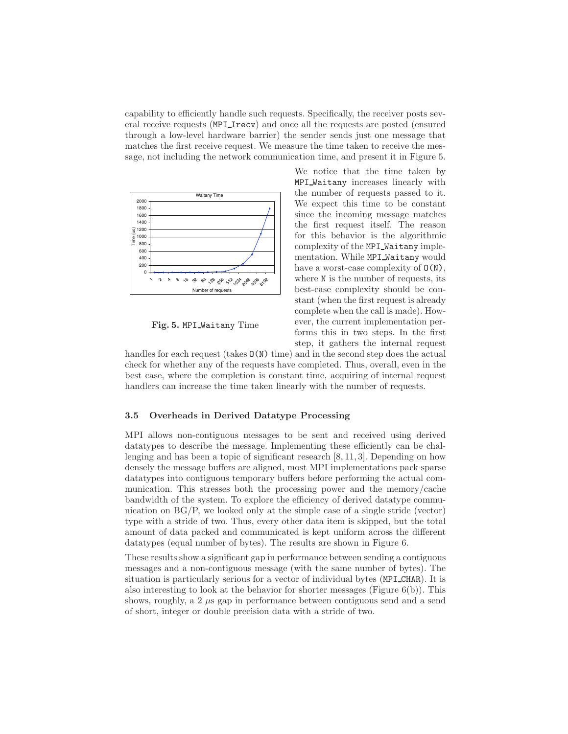capability to efficiently handle such requests. Specifically, the receiver posts several receive requests (MPI Irecv) and once all the requests are posted (ensured through a low-level hardware barrier) the sender sends just one message that matches the first receive request. We measure the time taken to receive the message, not including the network communication time, and present it in Figure 5.



Fig. 5. MPI\_Waitany Time

We notice that the time taken by MPI Waitany increases linearly with the number of requests passed to it. We expect this time to be constant since the incoming message matches the first request itself. The reason for this behavior is the algorithmic complexity of the MPI Waitany implementation. While MPI Waitany would have a worst-case complexity of  $O(N)$ , where N is the number of requests, its best-case complexity should be constant (when the first request is already complete when the call is made). However, the current implementation performs this in two steps. In the first step, it gathers the internal request

handles for each request (takes  $O(N)$  time) and in the second step does the actual check for whether any of the requests have completed. Thus, overall, even in the best case, where the completion is constant time, acquiring of internal request handlers can increase the time taken linearly with the number of requests.

#### 3.5 Overheads in Derived Datatype Processing

MPI allows non-contiguous messages to be sent and received using derived datatypes to describe the message. Implementing these efficiently can be challenging and has been a topic of significant research [8, 11, 3]. Depending on how densely the message buffers are aligned, most MPI implementations pack sparse datatypes into contiguous temporary buffers before performing the actual communication. This stresses both the processing power and the memory/cache bandwidth of the system. To explore the efficiency of derived datatype communication on  $BG/P$ , we looked only at the simple case of a single stride (vector) type with a stride of two. Thus, every other data item is skipped, but the total amount of data packed and communicated is kept uniform across the different datatypes (equal number of bytes). The results are shown in Figure 6.

These results show a significant gap in performance between sending a contiguous messages and a non-contiguous message (with the same number of bytes). The situation is particularly serious for a vector of individual bytes (MPI CHAR). It is also interesting to look at the behavior for shorter messages (Figure  $6(b)$ ). This shows, roughly, a  $2 \mu s$  gap in performance between contiguous send and a send of short, integer or double precision data with a stride of two.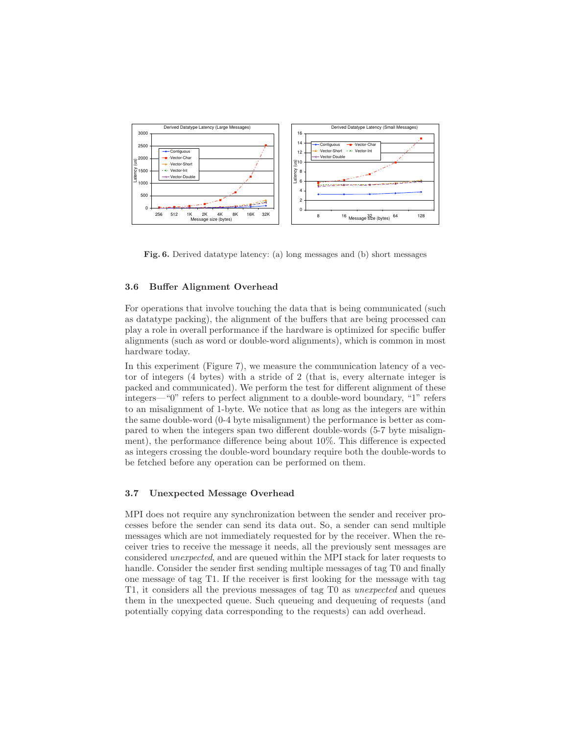

Fig. 6. Derived datatype latency: (a) long messages and (b) short messages

#### 3.6 Buffer Alignment Overhead

For operations that involve touching the data that is being communicated (such as datatype packing), the alignment of the buffers that are being processed can play a role in overall performance if the hardware is optimized for specific buffer alignments (such as word or double-word alignments), which is common in most hardware today.

In this experiment (Figure 7), we measure the communication latency of a vector of integers (4 bytes) with a stride of 2 (that is, every alternate integer is packed and communicated). We perform the test for different alignment of these integers—"0" refers to perfect alignment to a double-word boundary, "1" refers to an misalignment of 1-byte. We notice that as long as the integers are within the same double-word (0-4 byte misalignment) the performance is better as compared to when the integers span two different double-words (5-7 byte misalignment), the performance difference being about 10%. This difference is expected as integers crossing the double-word boundary require both the double-words to be fetched before any operation can be performed on them.

#### 3.7 Unexpected Message Overhead

MPI does not require any synchronization between the sender and receiver processes before the sender can send its data out. So, a sender can send multiple messages which are not immediately requested for by the receiver. When the receiver tries to receive the message it needs, all the previously sent messages are considered unexpected, and are queued within the MPI stack for later requests to handle. Consider the sender first sending multiple messages of tag T0 and finally one message of tag T1. If the receiver is first looking for the message with tag T1, it considers all the previous messages of tag T0 as unexpected and queues them in the unexpected queue. Such queueing and dequeuing of requests (and potentially copying data corresponding to the requests) can add overhead.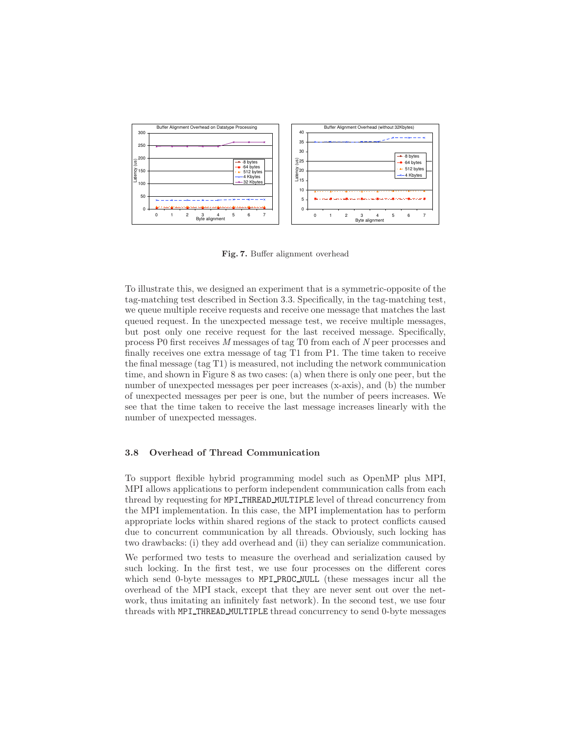

Fig. 7. Buffer alignment overhead

To illustrate this, we designed an experiment that is a symmetric-opposite of the tag-matching test described in Section 3.3. Specifically, in the tag-matching test, we queue multiple receive requests and receive one message that matches the last queued request. In the unexpected message test, we receive multiple messages, but post only one receive request for the last received message. Specifically, process P0 first receives M messages of tag T0 from each of N peer processes and finally receives one extra message of tag T1 from P1. The time taken to receive the final message (tag T1) is measured, not including the network communication time, and shown in Figure 8 as two cases: (a) when there is only one peer, but the number of unexpected messages per peer increases (x-axis), and (b) the number of unexpected messages per peer is one, but the number of peers increases. We see that the time taken to receive the last message increases linearly with the number of unexpected messages.

## 3.8 Overhead of Thread Communication

To support flexible hybrid programming model such as OpenMP plus MPI, MPI allows applications to perform independent communication calls from each thread by requesting for MPI THREAD MULTIPLE level of thread concurrency from the MPI implementation. In this case, the MPI implementation has to perform appropriate locks within shared regions of the stack to protect conflicts caused due to concurrent communication by all threads. Obviously, such locking has two drawbacks: (i) they add overhead and (ii) they can serialize communication.

We performed two tests to measure the overhead and serialization caused by such locking. In the first test, we use four processes on the different cores which send 0-byte messages to MPI PROC NULL (these messages incur all the overhead of the MPI stack, except that they are never sent out over the network, thus imitating an infinitely fast network). In the second test, we use four threads with MPI THREAD MULTIPLE thread concurrency to send 0-byte messages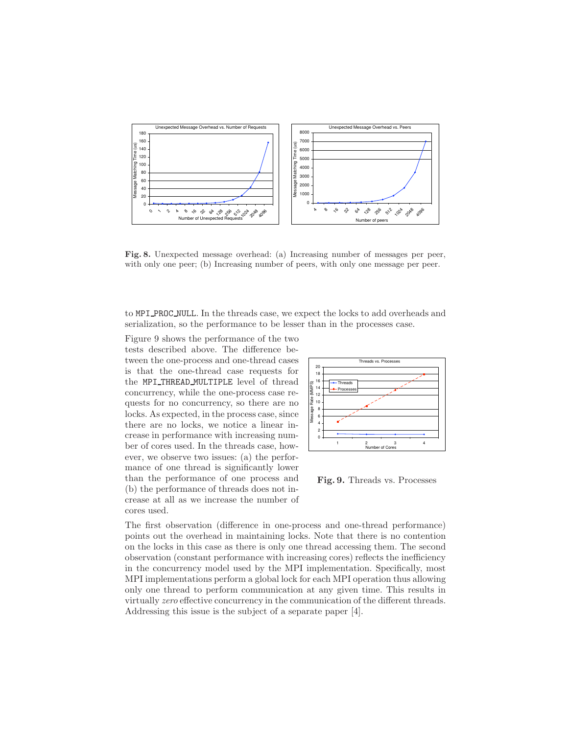

Fig. 8. Unexpected message overhead: (a) Increasing number of messages per peer, with only one peer; (b) Increasing number of peers, with only one message per peer.

to MPI PROC NULL. In the threads case, we expect the locks to add overheads and serialization, so the performance to be lesser than in the processes case.

Figure 9 shows the performance of the two tests described above. The difference between the one-process and one-thread cases is that the one-thread case requests for the MPI\_THREAD\_MULTIPLE level of thread concurrency, while the one-process case requests for no concurrency, so there are no locks. As expected, in the process case, since there are no locks, we notice a linear increase in performance with increasing number of cores used. In the threads case, however, we observe two issues: (a) the performance of one thread is significantly lower than the performance of one process and (b) the performance of threads does not increase at all as we increase the number of cores used.



Fig. 9. Threads vs. Processes

The first observation (difference in one-process and one-thread performance) points out the overhead in maintaining locks. Note that there is no contention on the locks in this case as there is only one thread accessing them. The second observation (constant performance with increasing cores) reflects the inefficiency in the concurrency model used by the MPI implementation. Specifically, most MPI implementations perform a global lock for each MPI operation thus allowing only one thread to perform communication at any given time. This results in virtually zero effective concurrency in the communication of the different threads. Addressing this issue is the subject of a separate paper [4].